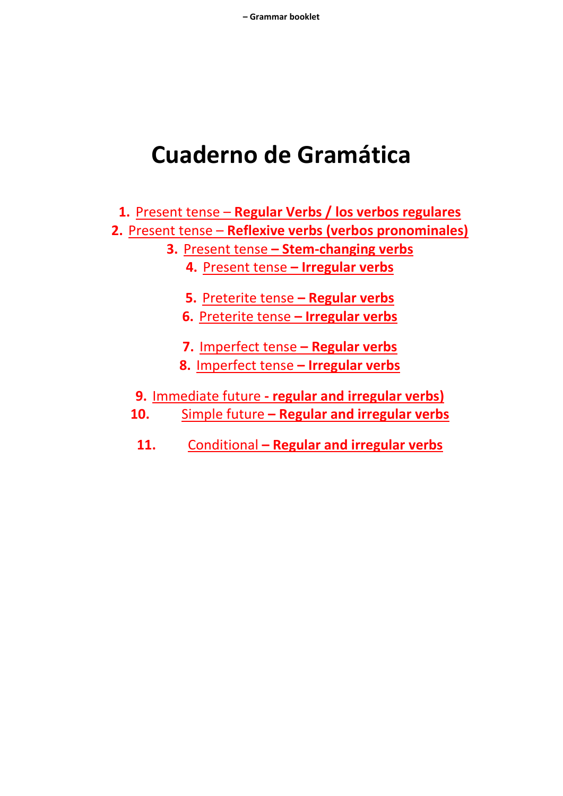# **Cuaderno de Gramática**

**1.** Present tense – **Regular Verbs / los verbos regulares 2.** Present tense – **Reflexive verbs (verbos pronominales) 3.** Present tense **– Stem-changing verbs 4.** Present tense **– Irregular verbs 5.** Preterite tense **– Regular verbs 6.** Preterite tense **– Irregular verbs 7.** Imperfect tense **– Regular verbs 8.** Imperfect tense **– Irregular verbs 9.** Immediate future **- regular and irregular verbs)**

- **10.** Simple future **– Regular and irregular verbs**
	- **11.** Conditional **– Regular and irregular verbs**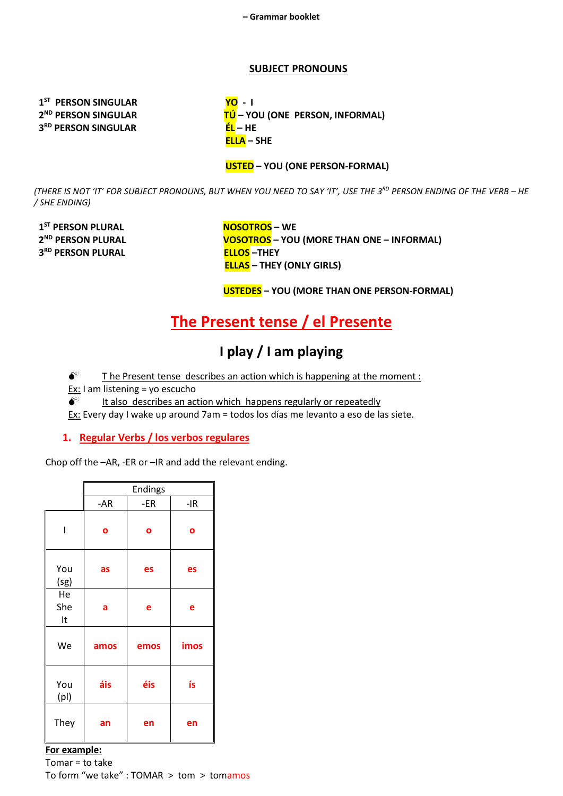#### **SUBJECT PRONOUNS**

1<sup>ST</sup> PERSON SINGULAR 2<sup>ND</sup> PERSON SINGULAR 3<sup>RD</sup> PERSON SINGULAR

<mark>YO</mark> - I TÚ – YOU (ONE PERSON, INFORMAL) EL-HE  $ELLA - SHE$ 

#### **USTED** - YOU (ONE PERSON-FORMAL)

(THERE IS NOT 'IT' FOR SUBJECT PRONOUNS, BUT WHEN YOU NEED TO SAY 'IT', USE THE 3RD PERSON ENDING OF THE VERB - HE / SHE ENDING)

1<sup>ST</sup> PERSON PLURAL 2<sup>ND</sup> PERSON PLURAL 3RD PERSON PLURAL

**NOSOTROS - WE VOSOTROS** - YOU (MORE THAN ONE - INFORMAL) **ELLOS-THEY ELLAS** - THEY (ONLY GIRLS)

**USTEDES** - YOU (MORE THAN ONE PERSON-FORMAL)

### The Present tense / el Presente

### I play / I am playing

 $\bullet^*$ The Present tense describes an action which is happening at the moment:

Ex: I am listening = vo escucho

It also describes an action which happens regularly or repeatedly  $\bullet^*$ 

Ex: Every day I wake up around 7am = todos los días me levanto a eso de las siete.

#### 1. Regular Verbs / los verbos regulares

Chop off the -AR, -ER or -IR and add the relevant ending.

|                 | <b>Endings</b> |      |       |  |  |  |  |
|-----------------|----------------|------|-------|--|--|--|--|
|                 | $-AR$          | -ER  | $-IR$ |  |  |  |  |
|                 | O              | O    | O     |  |  |  |  |
| You<br>(sg)     | as             | es   | es    |  |  |  |  |
| He<br>She<br>It | a              | e    | е     |  |  |  |  |
| We              | amos           | emos | imos  |  |  |  |  |
| You<br>(p )     | áis            | éis  | ís    |  |  |  |  |
| They            | an             | en   | en    |  |  |  |  |

#### For example: Tomar = to take To form "we take" : TOMAR > tom > tomamos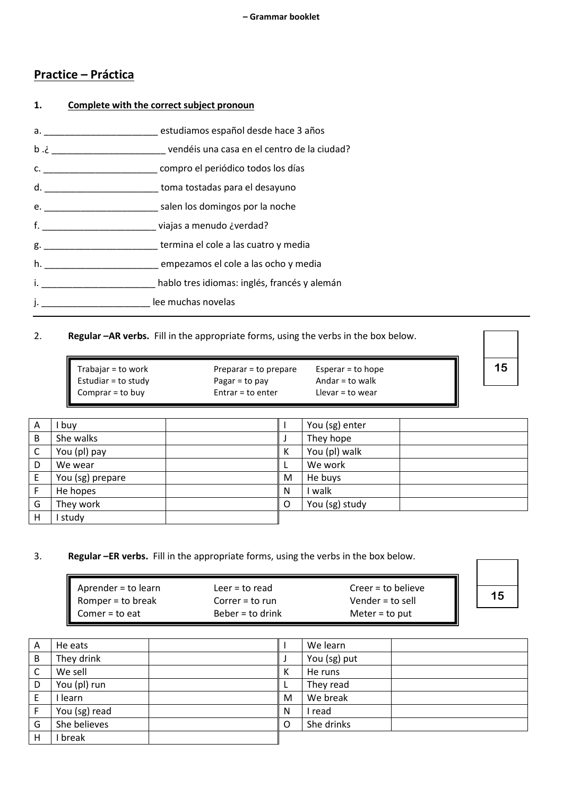#### **Practice – Práctica**

## **1. Complete with the correct subject pronoun** a. \_\_\_\_\_\_\_\_\_\_\_\_\_\_\_\_\_\_\_\_\_\_ estudiamos español desde hace 3 años b .¿ \_\_\_\_\_\_\_\_\_\_\_\_\_\_\_\_\_\_\_\_\_\_ vendéis una casa en el centro de la ciudad? c. \_\_\_\_\_\_\_\_\_\_\_\_\_\_\_\_\_\_\_\_\_\_ compro el periódico todos los días d. \_\_\_\_\_\_\_\_\_\_\_\_\_\_\_\_\_\_\_\_\_\_ toma tostadas para el desayuno e. \_\_\_\_\_\_\_\_\_\_\_\_\_\_\_\_\_\_\_\_\_\_ salen los domingos por la noche f. \_\_\_\_\_\_\_\_\_\_\_\_\_\_\_\_\_\_\_\_\_\_ viajas a menudo ¿verdad? g. \_\_\_\_\_\_\_\_\_\_\_\_\_\_\_\_\_\_\_\_\_\_ termina el cole a las cuatro y media h. \_\_\_\_\_\_\_\_\_\_\_\_\_\_\_\_\_\_\_\_\_\_ empezamos el cole a las ocho y media i. **El primer en la proprier de la proprietación de la proprietación de la proprietación de la proprietación de**<br>
de la proprietación de la proprietación de la proprietación de la proprietación de la proprietación de la pr j. \_\_\_\_\_\_\_\_\_\_\_\_\_\_\_\_\_\_\_\_\_\_\_\_\_\_\_ lee muchas novelas

#### 2. **Regular –AR verbs.** Fill in the appropriate forms, using the verbs in the box below.

| Trabajar = to work  | Preparar = to prepare | Esperar $=$ to hope |
|---------------------|-----------------------|---------------------|
| Estudiar = to study | Pagar = to pay        | Andar = to walk     |
| Comprar $=$ to buy  | Entrar = to enter     | Llevar $=$ to wear  |

| A            | , buy            |   |   | You (sg) enter |  |
|--------------|------------------|---|---|----------------|--|
| B            | She walks        |   |   | They hope      |  |
| $\mathsf{C}$ | You (pl) pay     | К |   | You (pl) walk  |  |
| D            | We wear          |   |   | We work        |  |
| E            | You (sg) prepare |   | M | He buys        |  |
| F            | He hopes         | N |   | walk           |  |
| G            | They work        |   | O | You (sg) study |  |
| H            | study            |   |   |                |  |

#### 3. **Regular –ER verbs.** Fill in the appropriate forms, using the verbs in the box below.

| $\blacksquare$ Aprender = to learn | Leer = to read    | $Creer = to believe$ |  |
|------------------------------------|-------------------|----------------------|--|
| Romper = to break                  | $Correr = to run$ | Vender = to sell     |  |
| $\blacksquare$ Comer = to eat      | Beber = to drink  | Meter = to put       |  |

**15**

**15**

| A | He eats       |          | We learn     |  |
|---|---------------|----------|--------------|--|
| B | They drink    |          | You (sg) put |  |
| C | We sell       | К        | He runs      |  |
| D | You (pl) run  |          | They read    |  |
| E | learn         | M        | We break     |  |
|   | You (sg) read | N        | read         |  |
| G | She believes  | $\Omega$ | She drinks   |  |
| Н | break         |          |              |  |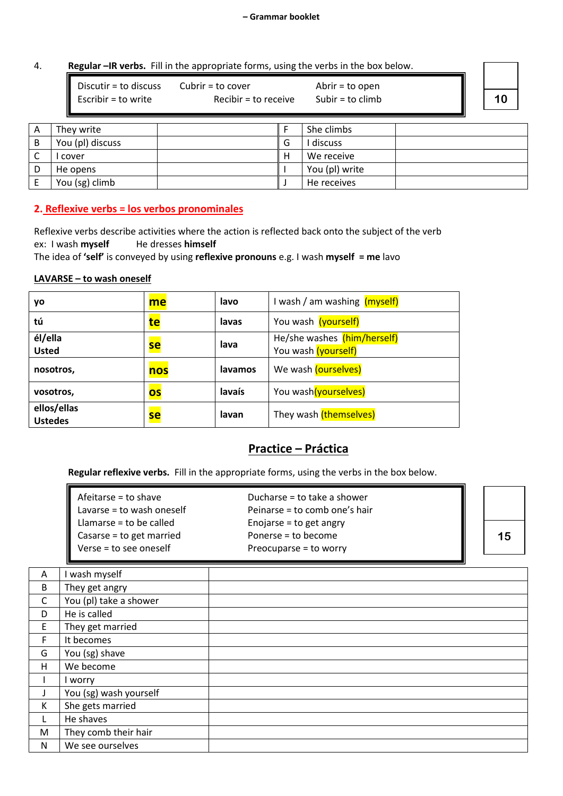#### 4. **Regular –IR verbs.** Fill in the appropriate forms, using the verbs in the box below.

| Discutir = to discuss | Cubrir = to cover    | Abrir = to open  |  |
|-----------------------|----------------------|------------------|--|
| Escribir = to write   | Recibir = to receive | Subir = to climb |  |
|                       |                      |                  |  |

| A        | They write       |   | She climbs     |  |
|----------|------------------|---|----------------|--|
| В        | You (pl) discuss | G | discuss        |  |
| $\Gamma$ | cover            | H | We receive     |  |
| D        | He opens         |   | You (pl) write |  |
|          | You (sg) climb   |   | He receives    |  |

#### **2. Reflexive verbs = los verbos pronominales**

Reflexive verbs describe activities where the action is reflected back onto the subject of the verb ex: I wash **myself** He dresses **himself** 

The idea of **'self'** is conveyed by using **reflexive pronouns** e.g. I wash **myself = me** lavo

#### **LAVARSE – to wash oneself**

| yo                            | me        | lavo    | I wash / am washing (myself)                       |
|-------------------------------|-----------|---------|----------------------------------------------------|
| tú                            | te        | lavas   | You wash (yourself)                                |
| él/ella<br><b>Usted</b>       | <b>se</b> | lava    | He/she washes (him/herself)<br>You wash (yourself) |
| nosotros,                     | nos       | lavamos | We wash (ourselves)                                |
| vosotros,                     | OS        | lavaís  | You wash(yourselves)                               |
| ellos/ellas<br><b>Ustedes</b> | <b>se</b> | lavan   | They wash (themselves)                             |

#### **Practice – Práctica**

**Regular reflexive verbs.** Fill in the appropriate forms, using the verbs in the box below.

| II<br>Lavarse = to wash oneself<br>Peinarse = to comb one's hair |    |
|------------------------------------------------------------------|----|
|                                                                  |    |
| I<br>Llamarse = to be called<br>Enojarse = to get angry          |    |
| Ш<br>Casarse = to get married<br>Ponerse = to become             | 15 |
| I<br>Verse = to see oneself<br>Preocuparse = to worry            |    |

| A            | I wash myself          |  |
|--------------|------------------------|--|
| B            | They get angry         |  |
| $\mathsf{C}$ | You (pl) take a shower |  |
| D            | He is called           |  |
| E            | They get married       |  |
| F.           | It becomes             |  |
| G            | You (sg) shave         |  |
| H            | We become              |  |
| L            | I worry                |  |
|              | You (sg) wash yourself |  |
| К            | She gets married       |  |
| L            | He shaves              |  |
| M            | They comb their hair   |  |
| N            | We see ourselves       |  |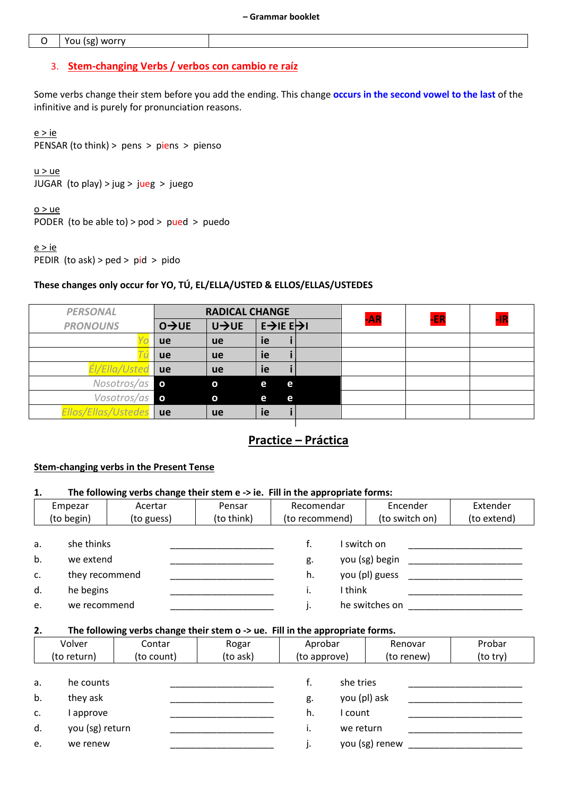#### $\mathsf O$ You (sg) worry

#### 3. Stem-changing Verbs / verbos con cambio re raíz

Some verbs change their stem before you add the ending. This change occurs in the second vowel to the last of the infinitive and is purely for pronunciation reasons.

 $e > ie$ PENSAR (to think) > pens > piens > pienso

 $u > ue$ JUGAR (to play) > jug > jueg > juego

 $0 > ue$ 

PODER (to be able to) > pod > pued > puedo

 $e > ie$ PEDIR (to ask) > ped > pid > pido

#### These changes only occur for YO, TÚ, EL/ELLA/USTED & ELLOS/ELLAS/USTEDES

| <b>PERSONAL</b>     | <b>RADICAL CHANGE</b>       |                     |                               | $-AR$ | -ER | -IR |
|---------------------|-----------------------------|---------------------|-------------------------------|-------|-----|-----|
| <b>PRONOUNS</b>     | $0 \rightarrow \mathsf{UE}$ | $U \rightarrow U E$ | $E\rightarrow E\rightarrow E$ |       |     |     |
|                     | <b>ue</b>                   | <b>ue</b>           | ie                            |       |     |     |
|                     | <b>ue</b>                   | <b>ue</b>           | ie                            |       |     |     |
| Él/Ella/Usted       | <b>ue</b>                   | <b>ue</b>           | ie                            |       |     |     |
| Nosotros/as         | $\mathbf{o}$                | $\mathbf{o}$        | e<br>e                        |       |     |     |
| Vosotros/as         | $\mathbf{o}$                | $\mathbf{o}$        | re.<br>e.                     |       |     |     |
| Ellos/Ellas/Ustedes | ue                          | <b>ue</b>           | ie                            |       |     |     |

#### **Practice - Práctica**

#### **Stem-changing verbs in the Present Tense**

| 1.                   | The following verbs change their stem e -> ie. Fill in the appropriate forms: |                                                                                                       |                   |                         |                                                   |                       |                    |  |
|----------------------|-------------------------------------------------------------------------------|-------------------------------------------------------------------------------------------------------|-------------------|-------------------------|---------------------------------------------------|-----------------------|--------------------|--|
|                      | Empezar                                                                       | Acertar                                                                                               | Pensar            | Recomendar              |                                                   | Encender              | Extender           |  |
|                      | (to begin)                                                                    | (to guess)                                                                                            | (to think)        | (to recommend)          |                                                   | (to switch on)        | (to extend)        |  |
| a.<br>b.<br>c.<br>d. | she thinks<br>we extend<br>they recommend<br>he begins                        |                                                                                                       |                   | f.<br>g.<br>h.<br>i.    | I switch on<br>I think                            | you (sg) begin        |                    |  |
| e.                   | we recommend                                                                  |                                                                                                       |                   | j.                      |                                                   | he switches on        |                    |  |
| 2.                   | Volver<br>(to return)                                                         | The following verbs change their stem o -> ue. Fill in the appropriate forms.<br>Contar<br>(to count) | Rogar<br>(to ask) | Aprobar<br>(to approve) |                                                   | Renovar<br>(to renew) | Probar<br>(to try) |  |
| a.<br>b.<br>c.<br>d. | he counts<br>they ask<br>I approve<br>you (sg) return                         |                                                                                                       |                   | f.<br>g.<br>h.<br>i.    | she tries<br>you (pl) ask<br>I count<br>we return |                       |                    |  |
| e.                   | we renew                                                                      |                                                                                                       |                   | J.                      |                                                   | you (sg) renew        |                    |  |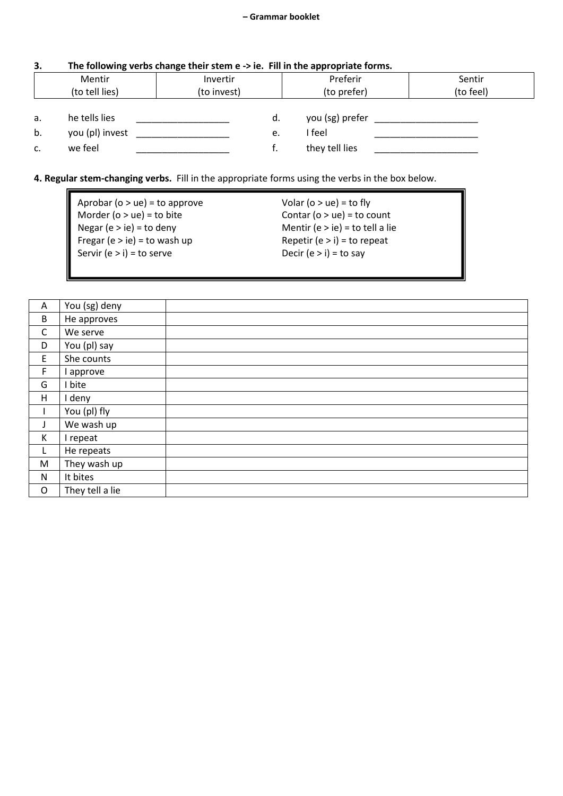### **3. The following verbs change their stem e -> ie. Fill in the appropriate forms.**

|                | Mentir          | Invertir    |    | Preferir        | Sentir    |
|----------------|-----------------|-------------|----|-----------------|-----------|
| (to tell lies) |                 | (to invest) |    | (to prefer)     | (to feel) |
|                |                 |             |    |                 |           |
| a.             | he tells lies   |             | d. | you (sg) prefer |           |
| b.             | you (pl) invest |             | e. | I feel          |           |
| c.             | we feel         |             |    | they tell lies  |           |

#### **4. Regular stem-changing verbs.** Fill in the appropriate forms using the verbs in the box below.

| Aprobar ( $o > ue$ ) = to approve | Volar ( $o > ue$ ) = to fly     |
|-----------------------------------|---------------------------------|
| Morder ( $o > ue$ ) = to bite     | Contar ( $o > ue$ ) = to count  |
| Negar (e $>$ ie) = to deny        | Mentir (e > ie) = to tell a lie |
| Fregar (e > ie) = to wash up      | Repetir (e $>$ i) = to repeat   |
| Servir (e > i) = to serve         | Decir (e $>$ i) = to say        |
|                                   |                                 |

| Α            | You (sg) deny   |  |
|--------------|-----------------|--|
| $\sf B$      | He approves     |  |
| $\mathsf{C}$ | We serve        |  |
| D            | You (pl) say    |  |
| $\mathsf E$  | She counts      |  |
| F            | approve         |  |
| G            | bite            |  |
| H            | deny            |  |
|              | You (pl) fly    |  |
| J            | We wash up      |  |
| K            | I repeat        |  |
| L            | He repeats      |  |
| M            | They wash up    |  |
| N            | It bites        |  |
| $\mathsf O$  | They tell a lie |  |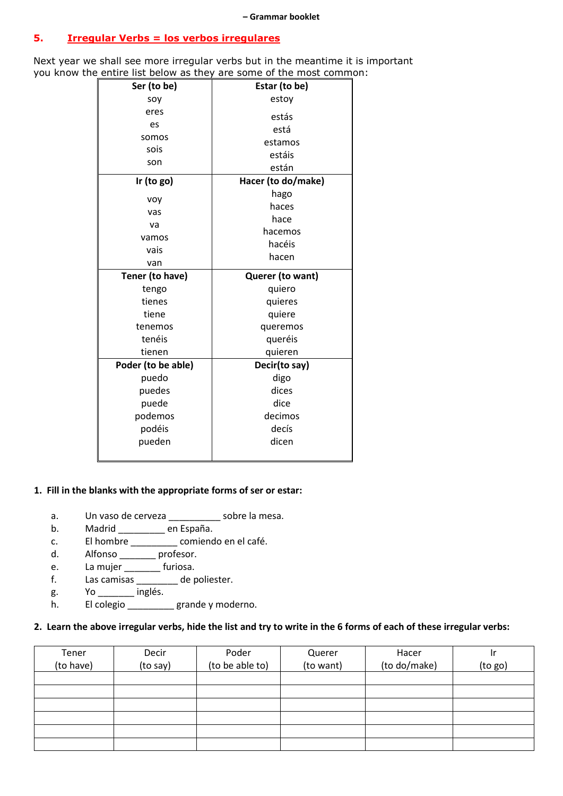**– Grammar booklet**

#### **5. Irregular Verbs = los verbos irregulares**

Next year we shall see more irregular verbs but in the meantime it is important you know the entire list below as they are some of the most common:

| Ser (to be)        | Estar (to be)      |  |  |
|--------------------|--------------------|--|--|
| soy                | estoy              |  |  |
| eres               | estás              |  |  |
| es                 | está               |  |  |
| somos              | estamos            |  |  |
| sois               | estáis             |  |  |
| son                | están              |  |  |
| Ir (to $go)$       | Hacer (to do/make) |  |  |
|                    | hago               |  |  |
| voy                | haces              |  |  |
| vas                | hace               |  |  |
| va                 | hacemos            |  |  |
| vamos<br>vais      | hacéis<br>hacen    |  |  |
|                    |                    |  |  |
| van                |                    |  |  |
|                    |                    |  |  |
| Tener (to have)    | Querer (to want)   |  |  |
| tengo              | quiero             |  |  |
| tienes             | quieres            |  |  |
| tiene              | quiere             |  |  |
| tenemos            | queremos           |  |  |
| tenéis             | queréis            |  |  |
| tienen             | quieren            |  |  |
| Poder (to be able) | Decir(to say)      |  |  |
| puedo              | digo               |  |  |
| puedes             | dices              |  |  |
| puede              | dice               |  |  |
| podemos            | decimos            |  |  |
| podéis<br>pueden   | decís<br>dicen     |  |  |

#### **1. Fill in the blanks with the appropriate forms of ser or estar:**

- a. Un vaso de cerveza \_\_\_\_\_\_\_\_\_\_\_ sobre la mesa.
- b. Madrid \_\_\_\_\_\_\_\_\_ en España.
- c. El hombre \_\_\_\_\_\_\_\_\_ comiendo en el café.
- d. Alfonso \_\_\_\_\_\_\_\_ profesor.
- e. La mujer \_\_\_\_\_\_\_ furiosa.
- f. Las camisas \_\_\_\_\_\_\_\_ de poliester.
- g. Yo \_\_\_\_\_\_\_ inglés.
- h. El colegio \_\_\_\_\_\_\_\_grande y moderno.

#### **2. Learn the above irregular verbs, hide the list and try to write in the 6 forms of each of these irregular verbs:**

| Tener<br>(to have) | Decir<br>(to say) | Poder<br>(to be able to) | Querer<br>(to want) | Hacer<br>(to do/make) | ١r<br>(to go) |
|--------------------|-------------------|--------------------------|---------------------|-----------------------|---------------|
|                    |                   |                          |                     |                       |               |
|                    |                   |                          |                     |                       |               |
|                    |                   |                          |                     |                       |               |
|                    |                   |                          |                     |                       |               |
|                    |                   |                          |                     |                       |               |
|                    |                   |                          |                     |                       |               |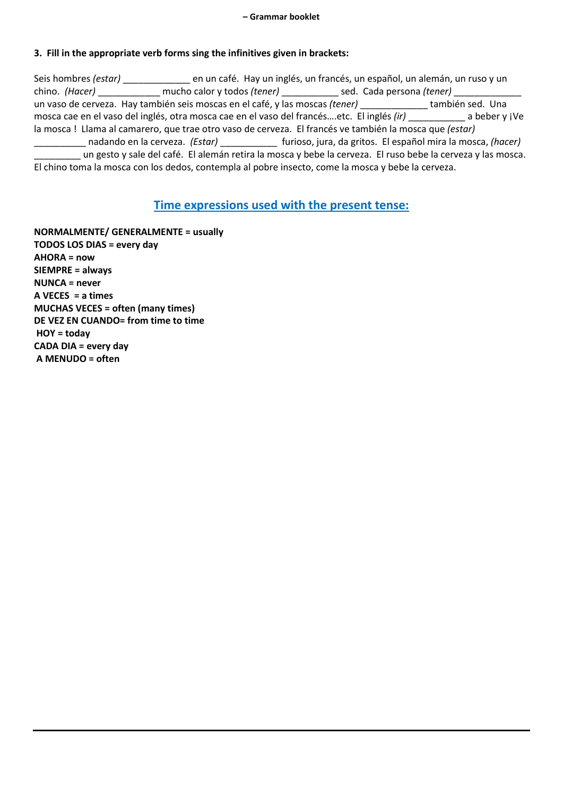#### **3. Fill in the appropriate verb forms sing the infinitives given in brackets:**

| Seis hombres (estar) ______ |                                                                                                               | en un café. Hay un inglés, un francés, un español, un alemán, un ruso y un |               |
|-----------------------------|---------------------------------------------------------------------------------------------------------------|----------------------------------------------------------------------------|---------------|
|                             | chino. (Hacer) ______________ mucho calor y todos (tener) _____________ sed. Cada persona (tener) ___________ |                                                                            |               |
|                             | un vaso de cerveza. Hay también seis moscas en el café, y las moscas <i>(tener)</i> también sed. Una          |                                                                            |               |
|                             | mosca cae en el vaso del inglés, otra mosca cae en el vaso del francésetc. El inglés (ir)                     |                                                                            | a beber y jVe |
|                             | la mosca! Llama al camarero, que trae otro vaso de cerveza. El francés ve también la mosca que (estar)        |                                                                            |               |
|                             | nadando en la cerveza. (Estar) [10] furioso, jura, da gritos. El español mira la mosca, (hacer)               |                                                                            |               |
|                             | un gesto y sale del café. El alemán retira la mosca y bebe la cerveza. El ruso bebe la cerveza y las mosca.   |                                                                            |               |
|                             | El chino toma la mosca con los dedos, contempla al pobre insecto, come la mosca y bebe la cerveza.            |                                                                            |               |

#### **Time expressions used with the present tense:**

**NORMALMENTE/ GENERALMENTE = usually TODOS LOS DIAS = every day AHORA = now SIEMPRE = always NUNCA = never A VECES = a times MUCHAS VECES = often (many times) DE VEZ EN CUANDO= from time to time HOY = today CADA DIA = every day A MENUDO = often**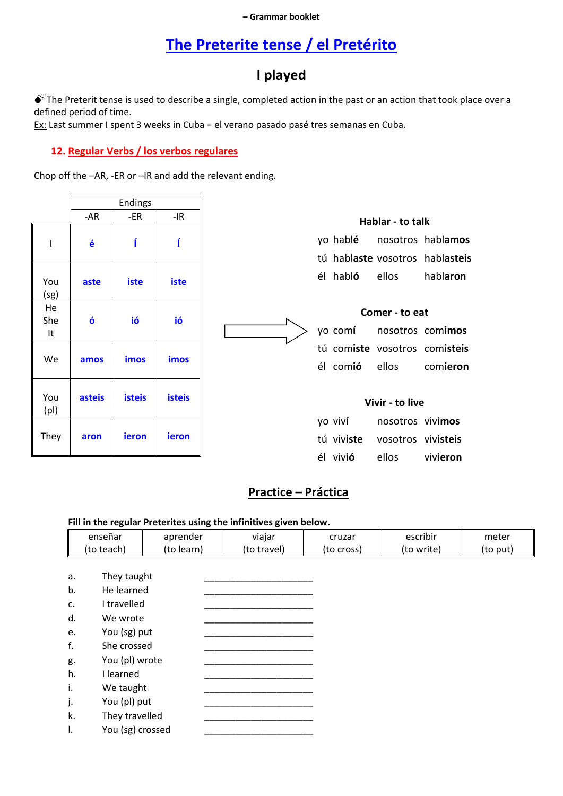#### - Grammar booklet

### The Preterite tense / el Pretérito

### I played

The Preterit tense is used to describe a single, completed action in the past or an action that took place over a defined period of time.

Ex: Last summer I spent 3 weeks in Cuba = el verano pasado pasé tres semanas en Cuba.

#### 12. Regular Verbs / los verbos regulares

Chop off the -AR, -ER or -IR and add the relevant ending.

|                 |        | Endings       |               |
|-----------------|--------|---------------|---------------|
|                 | -AR    | $-ER$         | $-IR$         |
| ı               | é      |               |               |
| You<br>(sg)     | aste   | iste          | iste          |
| He<br>She<br>It | ó      | ió            | ió            |
| We              | amos   | imos          | imos          |
| You<br>(p )     | asteis | <b>isteis</b> | <b>isteis</b> |
| They            | aron   | ieron         | ieron         |

| Hablar - to talk |  |                          |                                 |  |
|------------------|--|--------------------------|---------------------------------|--|
|                  |  |                          | yo hablé nosotros hablamos      |  |
|                  |  |                          | tú hablaste vosotros hablasteis |  |
|                  |  | él habló ellos hablaron  |                                 |  |
|                  |  |                          |                                 |  |
|                  |  | Comer - to eat           |                                 |  |
|                  |  | yo comí nosotros comimos |                                 |  |
|                  |  |                          | tú comiste vosotros comisteis   |  |
|                  |  |                          | él comió ellos comieron         |  |
|                  |  |                          |                                 |  |
| Vivir - to live  |  |                          |                                 |  |

| yo viví          | nosotros vivimos              |          |
|------------------|-------------------------------|----------|
|                  | tú viviste vosotros vivisteis |          |
| él viv <b>ió</b> | ellos                         | vivieron |

### Practice - Práctica

#### Fill in the regular Preterites using the infinitives given below.

|    | enseñar          | aprender   | viajar      | cruzar     | escribir   | meter    |
|----|------------------|------------|-------------|------------|------------|----------|
|    | (to teach)       | (to learn) | (to travel) | (to cross) | (to write) | (to put) |
|    |                  |            |             |            |            |          |
| a. | They taught      |            |             |            |            |          |
| b. | He learned       |            |             |            |            |          |
| c. | I travelled      |            |             |            |            |          |
| d. | We wrote         |            |             |            |            |          |
| e. | You (sg) put     |            |             |            |            |          |
| f. | She crossed      |            |             |            |            |          |
|    | You (pl) wrote   |            |             |            |            |          |
| g. |                  |            |             |            |            |          |
| h. | I learned        |            |             |            |            |          |
| i. | We taught        |            |             |            |            |          |
| j. | You (pl) put     |            |             |            |            |          |
| k. | They travelled   |            |             |            |            |          |
| Τ. | You (sg) crossed |            |             |            |            |          |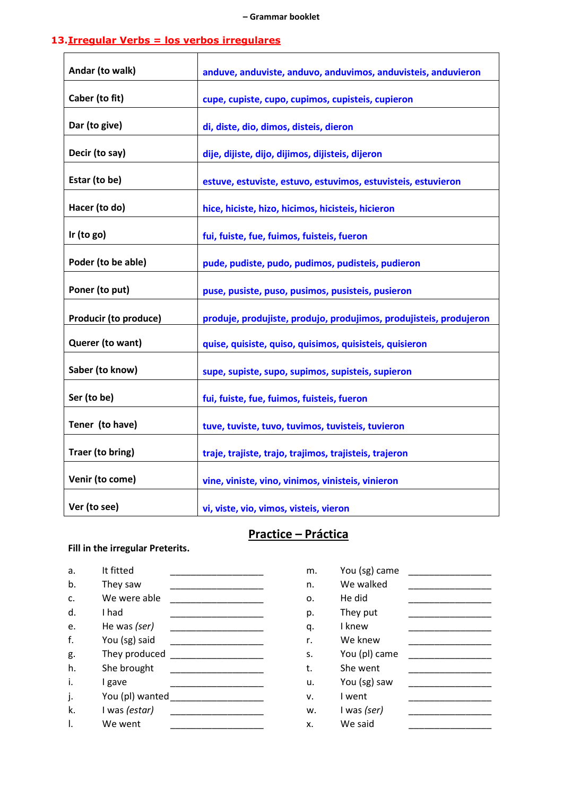#### **13.Irregular Verbs = los verbos irregulares**

| Andar (to walk)              | anduve, anduviste, anduvo, anduvimos, anduvisteis, anduvieron      |
|------------------------------|--------------------------------------------------------------------|
| Caber (to fit)               | cupe, cupiste, cupo, cupimos, cupisteis, cupieron                  |
| Dar (to give)                | di, diste, dio, dimos, disteis, dieron                             |
| Decir (to say)               | dije, dijiste, dijo, dijimos, dijisteis, dijeron                   |
| Estar (to be)                | estuve, estuviste, estuvo, estuvimos, estuvisteis, estuvieron      |
| Hacer (to do)                | hice, hiciste, hizo, hicimos, hicisteis, hicieron                  |
| Ir (to $go)$                 | fui, fuiste, fue, fuimos, fuisteis, fueron                         |
| Poder (to be able)           | pude, pudiste, pudo, pudimos, pudisteis, pudieron                  |
| Poner (to put)               | puse, pusiste, puso, pusimos, pusisteis, pusieron                  |
| <b>Producir (to produce)</b> | produje, produjiste, produjo, produjimos, produjisteis, produjeron |
| Querer (to want)             | quise, quisiste, quiso, quisimos, quisisteis, quisieron            |
| Saber (to know)              | supe, supiste, supo, supimos, supisteis, supieron                  |
| Ser (to be)                  | fui, fuiste, fue, fuimos, fuisteis, fueron                         |
| Tener (to have)              | tuve, tuviste, tuvo, tuvimos, tuvisteis, tuvieron                  |
| Traer (to bring)             | traje, trajiste, trajo, trajimos, trajisteis, trajeron             |
| Venir (to come)              | vine, viniste, vino, vinimos, vinisteis, vinieron                  |
| Ver (to see)                 | vi, viste, vio, vimos, visteis, vieron                             |

### **Practice – Práctica**

#### **Fill in the irregular Preterits.**

| a. | It fitted       | m. | You (sg) came |  |
|----|-----------------|----|---------------|--|
| b. | They saw        | n. | We walked     |  |
| c. | We were able    | 0. | He did        |  |
| d. | I had           | p. | They put      |  |
| e. | He was (ser)    | q. | I knew        |  |
| f. | You (sg) said   | r. | We knew       |  |
| g. | They produced   | S. | You (pl) came |  |
| h. | She brought     | t. | She went      |  |
| i. | I gave          | u. | You (sg) saw  |  |
| j. | You (pl) wanted | v. | I went        |  |
| k. | I was (estar)   | w. | I was (ser)   |  |
|    | We went         | x. | We said       |  |

| m. | You (sg) came |  |
|----|---------------|--|
| n. | We walked     |  |
| 0. | He did        |  |
| p. | They put      |  |
| q. | I knew        |  |
| r. | We knew       |  |
| s. | You (pl) came |  |
| t. | She went      |  |
| u. | You (sg) saw  |  |
| v. | I went        |  |
| w. | I was (ser)   |  |
| x. | We said       |  |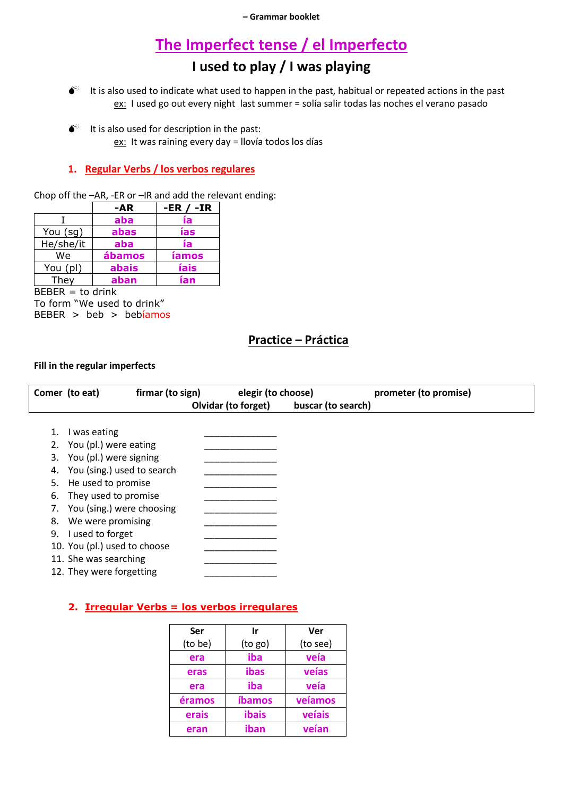### **The Imperfect tense / el Imperfecto**

### **I used to play / I was playing**

- $\bullet^*$  It is also used to indicate what used to happen in the past, habitual or repeated actions in the past ex: I used go out every night last summer = solía salir todas las noches el verano pasado
- $\bullet^*$  It is also used for description in the past: ex: It was raining every day = llovía todos los días

#### **1. Regular Verbs / los verbos regulares**

Chop off the –AR, -ER or –IR and add the relevant ending:

|           | -AR    | -ER / -IR    |
|-----------|--------|--------------|
|           | aba    | ía           |
| You (sg)  | abas   | ías          |
| He/she/it | aba    | ía           |
| We        | ábamos | <b>íamos</b> |
| You (pl)  | abais  | íais         |
| They      | aban   | ían          |

 $BEBER = to drink$ To form "We used to drink"  $BEBER > beb > bebiamos$ 

### **Practice – Práctica**

#### **Fill in the regular imperfects**

|    | Comer (to eat)               | firmar (to sign) | elegir (to choose)  |                    | prometer (to promise) |
|----|------------------------------|------------------|---------------------|--------------------|-----------------------|
|    |                              |                  | Olvidar (to forget) | buscar (to search) |                       |
|    |                              |                  |                     |                    |                       |
|    | I was eating                 |                  |                     |                    |                       |
|    | You (pl.) were eating        |                  |                     |                    |                       |
| 3. | You (pl.) were signing       |                  |                     |                    |                       |
|    | You (sing.) used to search   |                  |                     |                    |                       |
| 5. | He used to promise           |                  |                     |                    |                       |
| 6. | They used to promise         |                  |                     |                    |                       |
|    | You (sing.) were choosing    |                  |                     |                    |                       |
| 8. | We were promising            |                  |                     |                    |                       |
| 9. | I used to forget             |                  |                     |                    |                       |
|    | 10. You (pl.) used to choose |                  |                     |                    |                       |
|    | 11. She was searching        |                  |                     |                    |                       |
|    | 12. They were forgetting     |                  |                     |                    |                       |

#### **2. Irregular Verbs = los verbos irregulares**

| Ser     | Ir      | Ver      |
|---------|---------|----------|
| (to be) | (to go) | (to see) |
| era     | iba     | veía     |
| eras    | ibas    | veías    |
| era     | iba     | veía     |
| éramos  | íbamos  | veíamos  |
| erais   | ibais   | veíais   |
| eran    | iban    | veían    |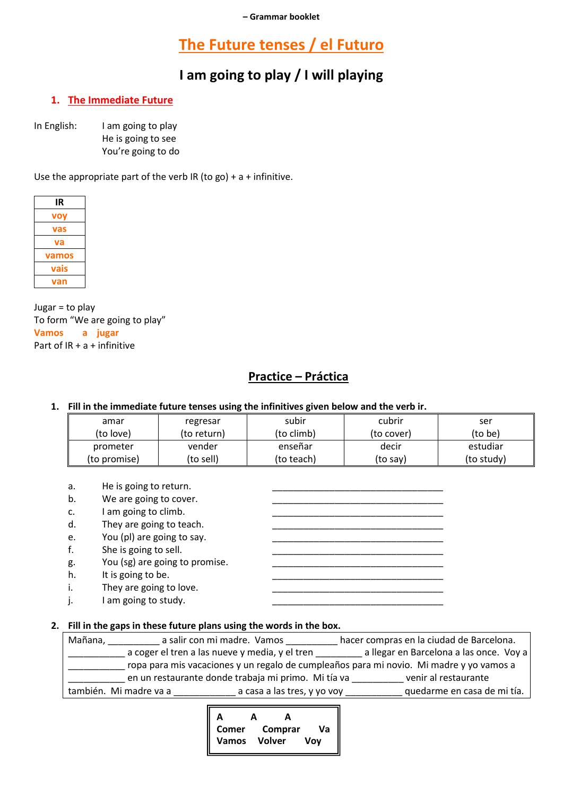### **The Future tenses / el Futuro**

### **I am going to play / I will playing**

#### **1. The Immediate Future**

In English: I am going to play He is going to see You're going to do

Use the appropriate part of the verb IR (to go) +  $a$  + infinitive.



Jugar = to play To form "We are going to play" **Vamos a jugar** Part of IR + a + infinitive

### **Practice – Práctica**

**1. Fill in the immediate future tenses using the infinitives given below and the verb ir.**

| amar         | regresar    | subir      | cubrir     | ser        |
|--------------|-------------|------------|------------|------------|
| (to love)    | (to return) | (to climb) | (to cover) | (to be)    |
| prometer     | vender      | enseñar    | decir      | estudiar   |
| (to promise) | (to sell)   | (to teach) | (to say)   | (to study) |

- a. He is going to return.
- b. We are going to cover.
- c. I am going to climb.
- d. They are going to teach.
- e. You (pl) are going to say.
- f. She is going to sell.
- g. You (sg) are going to promise.
- h. It is going to be.
- i. They are going to love.
- j. I am going to study.

#### **2. Fill in the gaps in these future plans using the words in the box.**

| Mañana,                | a salir con mi madre. Vamos                         | hacer compras en la ciudad de Barcelona.                                                |
|------------------------|-----------------------------------------------------|-----------------------------------------------------------------------------------------|
|                        | a coger el tren a las nueve y media, y el tren      | a llegar en Barcelona a las once. Voy a                                                 |
|                        |                                                     | ropa para mis vacaciones y un regalo de cumpleaños para mi novio. Mi madre y yo vamos a |
|                        | en un restaurante donde trabaja mi primo. Mi tía va | venir al restaurante                                                                    |
| también. Mi madre va a | a casa a las tres, y yo voy                         | quedarme en casa de mi tía.                                                             |

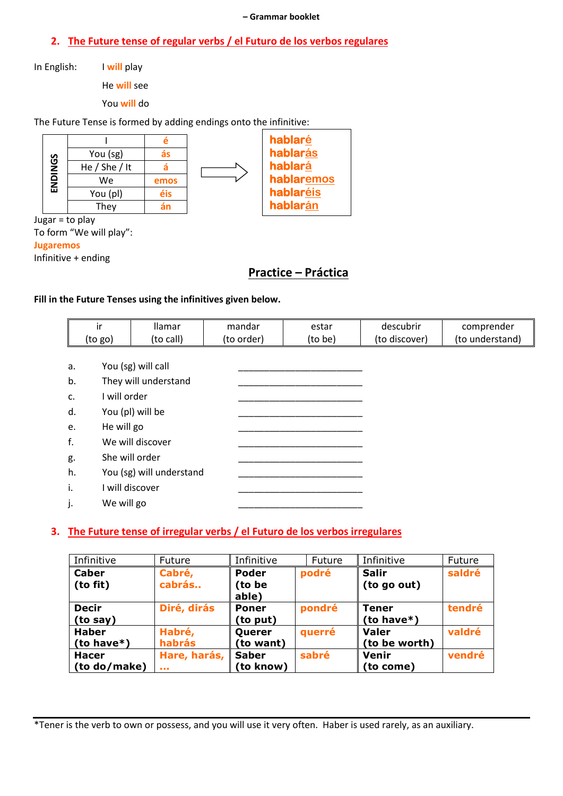#### - Grammar booklet

#### 2. The Future tense of regular verbs / el Futuro de los verbos regulares

In English: I will play

He will see

You will do

The Future Tense is formed by adding endings onto the infinitive:



Jugar = to play To form "We will play":

**Jugaremos** 

Infinitive + ending

### **Practice - Práctica**

#### Fill in the Future Tenses using the infinitives given below.

|    | ir           | <b>Ilamar</b>            | mandar     | estar   | descubrir     | comprender      |
|----|--------------|--------------------------|------------|---------|---------------|-----------------|
|    | (to go)      | (to call)                | (to order) | (to be) | (to discover) | (to understand) |
|    |              |                          |            |         |               |                 |
| a. |              | You (sg) will call       |            |         |               |                 |
| b. |              | They will understand     |            |         |               |                 |
| c. | I will order |                          |            |         |               |                 |
| d. |              | You (pl) will be         |            |         |               |                 |
| e. | He will go   |                          |            |         |               |                 |
| f. |              | We will discover         |            |         |               |                 |
| g. |              | She will order           |            |         |               |                 |
| h. |              | You (sg) will understand |            |         |               |                 |
| i. |              | I will discover          |            |         |               |                 |
| j. | We will go   |                          |            |         |               |                 |

#### 3. The Future tense of irregular verbs / el Futuro de los verbos irregulares

| Infinitive    | Future         | Infinitive   | Future | Infinitive    | Future |
|---------------|----------------|--------------|--------|---------------|--------|
| <b>Caber</b>  | Cabré,         | <b>Poder</b> | podré  | <b>Salir</b>  | saldré |
| (to fit)      | cabrás         | (to be       |        | (to go out)   |        |
|               |                | able)        |        |               |        |
| <b>Decir</b>  | Diré, dirás    | <b>Poner</b> | pondré | Tener         | tendré |
| (to say)      |                | (to put)     |        | (to have $*)$ |        |
| <b>Haber</b>  | Habré,         | Querer       | querré | <b>Valer</b>  | valdré |
| (to have $*)$ | habrás         | (to want)    |        | (to be worth) |        |
| <b>Hacer</b>  | Hare, harás,   | <b>Saber</b> | sabré  | Venir         | vendré |
| (to do/make)  | <b>A 6 8 1</b> | (to know)    |        | (to come)     |        |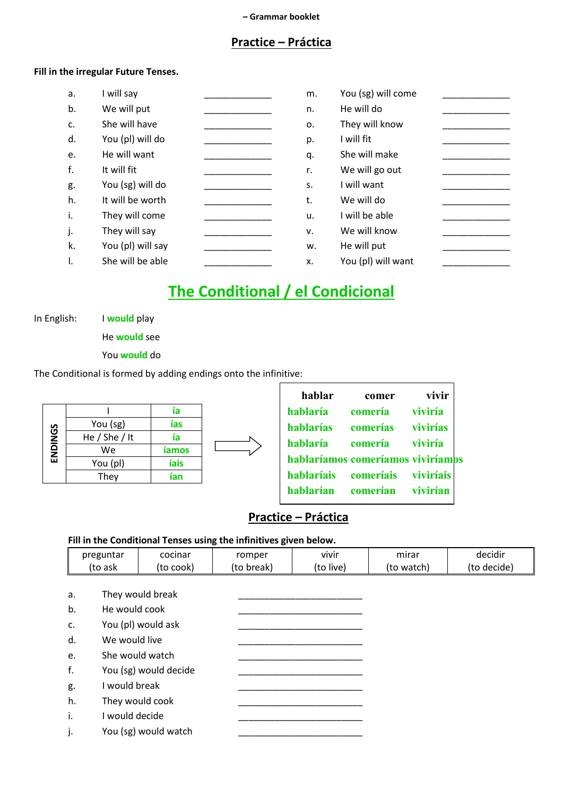### **Practice – Práctica**

#### **Fill in the irregular Future Tenses.**

| a. | I will say        | m. | You (sg) will come |
|----|-------------------|----|--------------------|
| b. | We will put       | n. | He will do         |
| c. | She will have     | 0. | They will know     |
| d. | You (pl) will do  | p. | I will fit         |
| e. | He will want      | q. | She will make      |
| f. | It will fit       | r. | We will go out     |
| g. | You (sg) will do  | S. | I will want        |
| h. | It will be worth  | t. | We will do         |
| i. | They will come    | u. | I will be able     |
| j. | They will say     | v. | We will know       |
| k. | You (pl) will say | w. | He will put        |
| Ι. | She will be able  | x. | You (pl) will want |

## **The Conditional / el Condicional**

In English: I **would** play

He **would** see

You **would** do

The Conditional is formed by adding endings onto the infinitive:

|         |               | ia           |  |
|---------|---------------|--------------|--|
|         | You (sg)      | ías          |  |
| ENDINGS | He / She / It | ía           |  |
|         | We            | <b>iamos</b> |  |
|         | You (pl)      | íais         |  |
|         | They          | ían          |  |

| hablar                            | comer     | vivir     |  |
|-----------------------------------|-----------|-----------|--|
| hablaría                          | comería   | viviría   |  |
| hablarías                         | comerías  | vivirías  |  |
| hablaría                          | comería   | viviría   |  |
| hablaríamos comeríamos viviríamos |           |           |  |
| hablaríais                        | comeríais | viviríais |  |
| hablarían                         | comerían  | vivirían  |  |

### **Practice – Práctica**

#### **Fill in the Conditional Tenses using the infinitives given below.**

| preguntar | cocinar   | romper     | vivir     | mırar      | decidir     |
|-----------|-----------|------------|-----------|------------|-------------|
| (to ask   | 'to cook) | (to break) | (to live) | (to watch) | (to decide) |

| a. | They would break      |
|----|-----------------------|
| b. | He would cook         |
| c. | You (pl) would ask    |
| d. | We would live         |
| e. | She would watch       |
| f. | You (sg) would decide |
| g. | I would break         |
| h. | They would cook       |
| j. | I would decide        |
| j. | You (sg) would watch  |